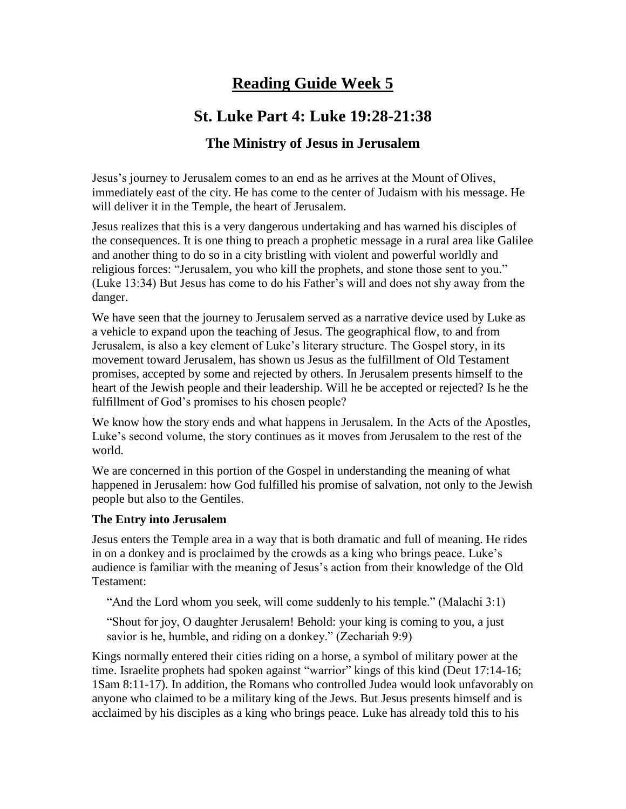# **Reading Guide Week 5**

# **St. Luke Part 4: Luke 19:28-21:38**

## **The Ministry of Jesus in Jerusalem**

Jesus's journey to Jerusalem comes to an end as he arrives at the Mount of Olives, immediately east of the city. He has come to the center of Judaism with his message. He will deliver it in the Temple, the heart of Jerusalem.

Jesus realizes that this is a very dangerous undertaking and has warned his disciples of the consequences. It is one thing to preach a prophetic message in a rural area like Galilee and another thing to do so in a city bristling with violent and powerful worldly and religious forces: "Jerusalem, you who kill the prophets, and stone those sent to you." (Luke 13:34) But Jesus has come to do his Father's will and does not shy away from the danger.

We have seen that the journey to Jerusalem served as a narrative device used by Luke as a vehicle to expand upon the teaching of Jesus. The geographical flow, to and from Jerusalem, is also a key element of Luke's literary structure. The Gospel story, in its movement toward Jerusalem, has shown us Jesus as the fulfillment of Old Testament promises, accepted by some and rejected by others. In Jerusalem presents himself to the heart of the Jewish people and their leadership. Will he be accepted or rejected? Is he the fulfillment of God's promises to his chosen people?

We know how the story ends and what happens in Jerusalem. In the Acts of the Apostles, Luke's second volume, the story continues as it moves from Jerusalem to the rest of the world.

We are concerned in this portion of the Gospel in understanding the meaning of what happened in Jerusalem: how God fulfilled his promise of salvation, not only to the Jewish people but also to the Gentiles.

#### **The Entry into Jerusalem**

Jesus enters the Temple area in a way that is both dramatic and full of meaning. He rides in on a donkey and is proclaimed by the crowds as a king who brings peace. Luke's audience is familiar with the meaning of Jesus's action from their knowledge of the Old Testament:

"And the Lord whom you seek, will come suddenly to his temple." (Malachi 3:1)

"Shout for joy, O daughter Jerusalem! Behold: your king is coming to you, a just savior is he, humble, and riding on a donkey." (Zechariah 9:9)

Kings normally entered their cities riding on a horse, a symbol of military power at the time. Israelite prophets had spoken against "warrior" kings of this kind (Deut 17:14-16; 1Sam 8:11-17). In addition, the Romans who controlled Judea would look unfavorably on anyone who claimed to be a military king of the Jews. But Jesus presents himself and is acclaimed by his disciples as a king who brings peace. Luke has already told this to his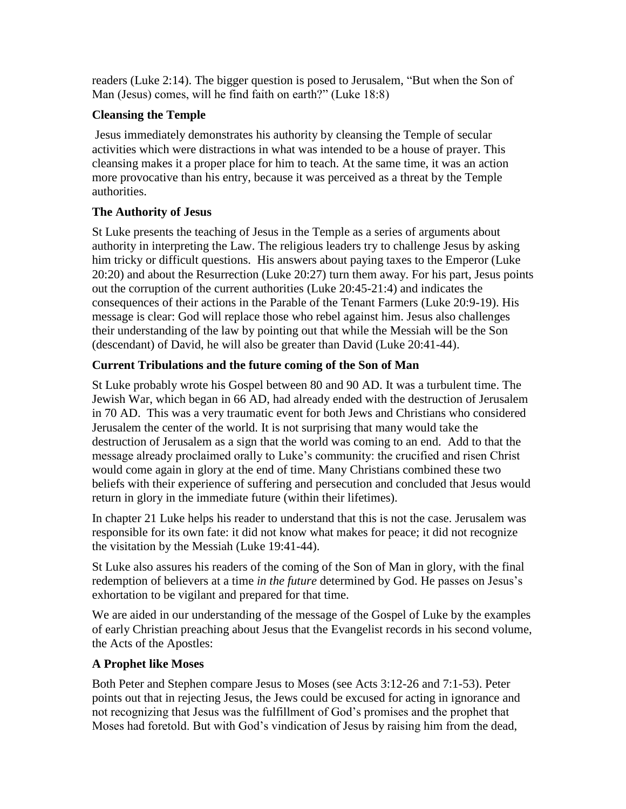readers (Luke 2:14). The bigger question is posed to Jerusalem, "But when the Son of Man (Jesus) comes, will he find faith on earth?" (Luke 18:8)

### **Cleansing the Temple**

Jesus immediately demonstrates his authority by cleansing the Temple of secular activities which were distractions in what was intended to be a house of prayer. This cleansing makes it a proper place for him to teach. At the same time, it was an action more provocative than his entry, because it was perceived as a threat by the Temple authorities.

## **The Authority of Jesus**

St Luke presents the teaching of Jesus in the Temple as a series of arguments about authority in interpreting the Law. The religious leaders try to challenge Jesus by asking him tricky or difficult questions. His answers about paying taxes to the Emperor (Luke 20:20) and about the Resurrection (Luke 20:27) turn them away. For his part, Jesus points out the corruption of the current authorities (Luke 20:45-21:4) and indicates the consequences of their actions in the Parable of the Tenant Farmers (Luke 20:9-19). His message is clear: God will replace those who rebel against him. Jesus also challenges their understanding of the law by pointing out that while the Messiah will be the Son (descendant) of David, he will also be greater than David (Luke 20:41-44).

### **Current Tribulations and the future coming of the Son of Man**

St Luke probably wrote his Gospel between 80 and 90 AD. It was a turbulent time. The Jewish War, which began in 66 AD, had already ended with the destruction of Jerusalem in 70 AD. This was a very traumatic event for both Jews and Christians who considered Jerusalem the center of the world. It is not surprising that many would take the destruction of Jerusalem as a sign that the world was coming to an end. Add to that the message already proclaimed orally to Luke's community: the crucified and risen Christ would come again in glory at the end of time. Many Christians combined these two beliefs with their experience of suffering and persecution and concluded that Jesus would return in glory in the immediate future (within their lifetimes).

In chapter 21 Luke helps his reader to understand that this is not the case. Jerusalem was responsible for its own fate: it did not know what makes for peace; it did not recognize the visitation by the Messiah (Luke 19:41-44).

St Luke also assures his readers of the coming of the Son of Man in glory, with the final redemption of believers at a time *in the future* determined by God. He passes on Jesus's exhortation to be vigilant and prepared for that time.

We are aided in our understanding of the message of the Gospel of Luke by the examples of early Christian preaching about Jesus that the Evangelist records in his second volume, the Acts of the Apostles:

### **A Prophet like Moses**

Both Peter and Stephen compare Jesus to Moses (see Acts 3:12-26 and 7:1-53). Peter points out that in rejecting Jesus, the Jews could be excused for acting in ignorance and not recognizing that Jesus was the fulfillment of God's promises and the prophet that Moses had foretold. But with God's vindication of Jesus by raising him from the dead,